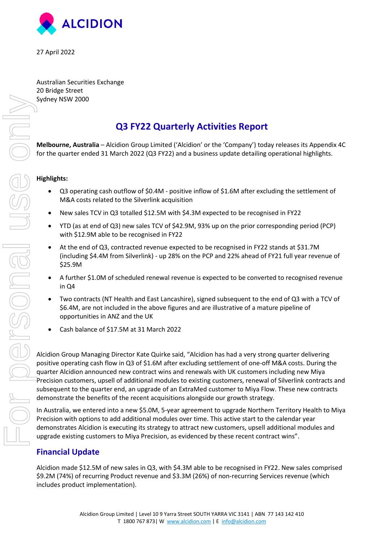

27 April 2022

Australian Securities Exchange 20 Bridge Street Sydney NSW 2000

## **Q3 FY22 Quarterly Activities Report**

**Melbourne, Australia** – Alcidion Group Limited ('Alcidion' or the 'Company') today releases its Appendix 4C for the quarter ended 31 March 2022 (Q3 FY22) and a business update detailing operational highlights.

#### **Highlights:**

- Q3 operating cash outflow of \$0.4M positive inflow of \$1.6M after excluding the settlement of M&A costs related to the Silverlink acquisition
- New sales TCV in Q3 totalled \$12.5M with \$4.3M expected to be recognised in FY22
- YTD (as at end of Q3) new sales TCV of \$42.9M, 93% up on the prior corresponding period (PCP) with \$12.9M able to be recognised in FY22
- At the end of Q3, contracted revenue expected to be recognised in FY22 stands at \$31.7M (including \$4.4M from Silverlink) - up 28% on the PCP and 22% ahead of FY21 full year revenue of \$25.9M
- A further \$1.0M of scheduled renewal revenue is expected to be converted to recognised revenue in Q4
- Two contracts (NT Health and East Lancashire), signed subsequent to the end of Q3 with a TCV of \$6.4M, are not included in the above figures and are illustrative of a mature pipeline of opportunities in ANZ and the UK
- Cash balance of \$17.5M at 31 March 2022

Alcidion Group Managing Director Kate Quirke said, "Alcidion has had a very strong quarter delivering positive operating cash flow in Q3 of \$1.6M after excluding settlement of one-off M&A costs. During the quarter Alcidion announced new contract wins and renewals with UK customers including new Miya Precision customers, upsell of additional modules to existing customers, renewal of Silverlink contracts and subsequent to the quarter end, an upgrade of an ExtraMed customer to Miya Flow. These new contracts demonstrate the benefits of the recent acquisitions alongside our growth strategy.

In Australia, we entered into a new \$5.0M, 5-year agreement to upgrade Northern Territory Health to Miya Precision with options to add additional modules over time. This active start to the calendar year demonstrates Alcidion is executing its strategy to attract new customers, upsell additional modules and upgrade existing customers to Miya Precision, as evidenced by these recent contract wins".

### **Financial Update**

Alcidion made \$12.5M of new sales in Q3, with \$4.3M able to be recognised in FY22. New sales comprised \$9.2M (74%) of recurring Product revenue and \$3.3M (26%) of non-recurring Services revenue (which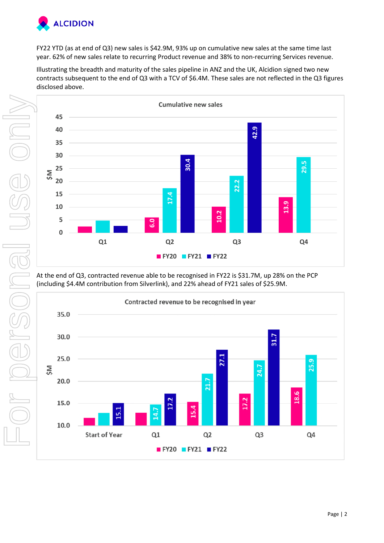

FY22 YTD (as at end of Q3) new sales is \$42.9M, 93% up on cumulative new sales at the same time last year. 62% of new sales relate to recurring Product revenue and 38% to non-recurring Services revenue.

Illustrating the breadth and maturity of the sales pipeline in ANZ and the UK, Alcidion signed two new contracts subsequent to the end of Q3 with a TCV of \$6.4M. These sales are not reflected in the Q3 figures disclosed above.



At the end of Q3, contracted revenue able to be recognised in FY22 is \$31.7M, up 28% on the PCP (including \$4.4M contribution from Silverlink), and 22% ahead of FY21 sales of \$25.9M.

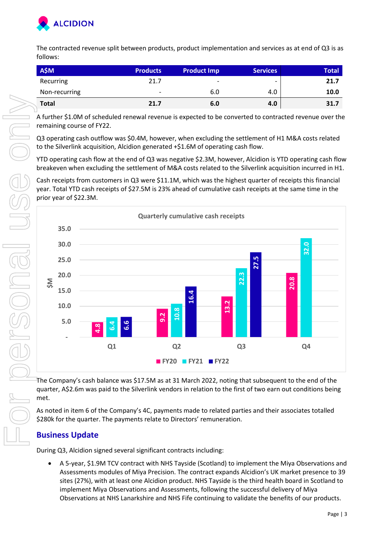

The contracted revenue split between products, product implementation and services as at end of Q3 is as follows:

| <b>A\$M</b>   | <b>Products</b>          | <b>Product Imp</b>       | <b>Services</b>          | <b>Total</b> |
|---------------|--------------------------|--------------------------|--------------------------|--------------|
| Recurring     | 21.7                     | $\overline{\phantom{a}}$ | $\overline{\phantom{0}}$ | 21.7         |
| Non-recurring | $\overline{\phantom{a}}$ | 6.0                      | 4.0                      | 10.0         |
| <b>Total</b>  | 21.7                     | 6.0                      | 4.0                      | 31.7         |

A further \$1.0M of scheduled renewal revenue is expected to be converted to contracted revenue over the remaining course of FY22.

Q3 operating cash outflow was \$0.4M, however, when excluding the settlement of H1 M&A costs related to the Silverlink acquisition, Alcidion generated +\$1.6M of operating cash flow.

YTD operating cash flow at the end of Q3 was negative \$2.3M, however, Alcidion is YTD operating cash flow breakeven when excluding the settlement of M&A costs related to the Silverlink acquisition incurred in H1.

Cash receipts from customers in Q3 were \$11.1M, which was the highest quarter of receipts this financial year. Total YTD cash receipts of \$27.5M is 23% ahead of cumulative cash receipts at the same time in the prior year of \$22.3M.



The Company's cash balance was \$17.5M as at 31 March 2022, noting that subsequent to the end of the quarter, A\$2.6m was paid to the Silverlink vendors in relation to the first of two earn out conditions being met.

As noted in item 6 of the Company's 4C, payments made to related parties and their associates totalled \$280k for the quarter. The payments relate to Directors' remuneration.

## **Business Update**

During Q3, Alcidion signed several significant contracts including:

 A 5-year, \$1.9M TCV contract with NHS Tayside (Scotland) to implement the Miya Observations and Assessments modules of Miya Precision. The contract expands Alcidion's UK market presence to 39 sites (27%), with at least one Alcidion product. NHS Tayside is the third health board in Scotland to implement Miya Observations and Assessments, following the successful delivery of Miya Observations at NHS Lanarkshire and NHS Fife continuing to validate the benefits of our products.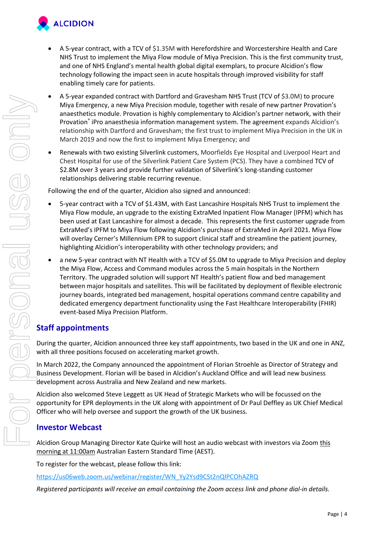

- 
- A 5-year contract, with a TCV of \$1.35M with Herefordshire and Worcestershire Health and Care NHS Trust to implement the Miya Flow module of Miya Precision. This is the first community trust, and one of NHS England's mental health global digital exemplars, to procure Alcidion's flow technology following the impact seen in acute hospitals through improved visibility for staff enabling timely care for patients.
- A 5-year expanded contract with Dartford and Gravesham NHS Trust (TCV of \$3.0M) to procure Miya Emergency, a new Miya Precision module, together with resale of new partner Provation's anaesthetics module. Provation is highly complementary to Alcidion's partner network, with their Provation® iPro anaesthesia information management system. The agreement expands Alcidion's relationship with Dartford and Gravesham; the first trust to implement Miya Precision in the UK in March 2019 and now the first to implement Miya Emergency; and
- Renewals with two existing Silverlink customers, Moorfields Eye Hospital and Liverpool Heart and Chest Hospital for use of the Silverlink Patient Care System (PCS). They have a combined TCV of \$2.8M over 3 years and provide further validation of Silverlink's long-standing customer relationships delivering stable recurring revenue.

Following the end of the quarter, Alcidion also signed and announced:

- 5-year contract with a TCV of \$1.43M, with East Lancashire Hospitals NHS Trust to implement the Miya Flow module, an upgrade to the existing ExtraMed Inpatient Flow Manager (IPFM) which has been used at East Lancashire for almost a decade. This represents the first customer upgrade from ExtraMed's IPFM to Miya Flow following Alcidion's purchase of ExtraMed in April 2021. Miya Flow will overlay Cerner's Millennium EPR to support clinical staff and streamline the patient journey, highlighting Alcidion's interoperability with other technology providers; and
- a new 5-year contract with NT Health with a TCV of \$5.0M to upgrade to Miya Precision and deploy the Miya Flow, Access and Command modules across the 5 main hospitals in the Northern Territory. The upgraded solution will support NT Health's patient flow and bed management between major hospitals and satellites. This will be facilitated by deployment of flexible electronic journey boards, integrated bed management, hospital operations command centre capability and dedicated emergency department functionality using the Fast Healthcare Interoperability (FHIR) event-based Miya Precision Platform. **Registered participants with Distribution** and Conservation and Conservation and Conservation and Containing the Zoom access link and the Containing the Zoom access link and phone dial-in details. The Containing Simulatio

## **Staff appointments**

During the quarter, Alcidion announced three key staff appointments, two based in the UK and one in ANZ, with all three positions focused on accelerating market growth.

In March 2022, the Company announced the appointment of Florian Stroehle as Director of Strategy and Business Development. Florian will be based in Alcidion's Auckland Office and will lead new business development across Australia and New Zealand and new markets.

Alcidion also welcomed Steve Leggett as UK Head of Strategic Markets who will be focussed on the opportunity for EPR deployments in the UK along with appointment of Dr Paul Deffley as UK Chief Medical Officer who will help oversee and support the growth of the UK business.

## **Investor Webcast**

Alcidion Group Managing Director Kate Quirke will host an audio webcast with investors via Zoom this morning at 11:00am Australian Eastern Standard Time (AEST).

To register for the webcast, please follow this link:

https://us06web.zoom.us/webinar/register/WN\_Yy2Ysd9CSt2nQlPCOhAZRQ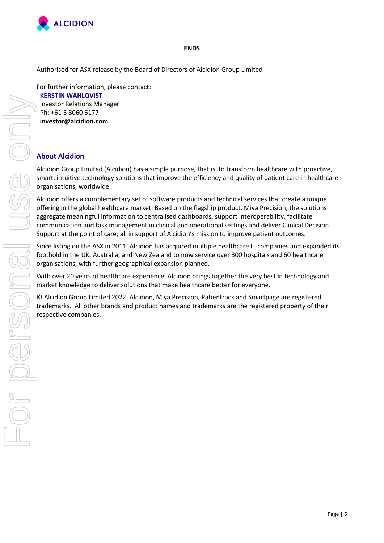

#### **ENDS**

Authorised for ASX release by the Board of Directors of Alcidion Group Limited

For further information, please contact: **KERSTIN WAHLQVIST** Investor Relations Manager Ph: +61 3 8060 6177 **investor@alcidion.com** 

### **About Alcidion**

Alcidion Group Limited (Alcidion) has a simple purpose, that is, to transform healthcare with proactive, smart, intuitive technology solutions that improve the efficiency and quality of patient care in healthcare organisations, worldwide.

Alcidion offers a complementary set of software products and technical services that create a unique offering in the global healthcare market. Based on the flagship product, Miya Precision, the solutions aggregate meaningful information to centralised dashboards, support interoperability, facilitate communication and task management in clinical and operational settings and deliver Clinical Decision Support at the point of care; all in support of Alcidion's mission to improve patient outcomes.

Since listing on the ASX in 2011, Alcidion has acquired multiple healthcare IT companies and expanded its foothold in the UK, Australia, and New Zealand to now service over 300 hospitals and 60 healthcare organisations, with further geographical expansion planned.

With over 20 years of healthcare experience, Alcidion brings together the very best in technology and market knowledge to deliver solutions that make healthcare better for everyone.

© Alcidion Group Limited 2022. Alcidion, Miya Precision, Patientrack and Smartpage are registered trademarks. All other brands and product names and trademarks are the registered property of their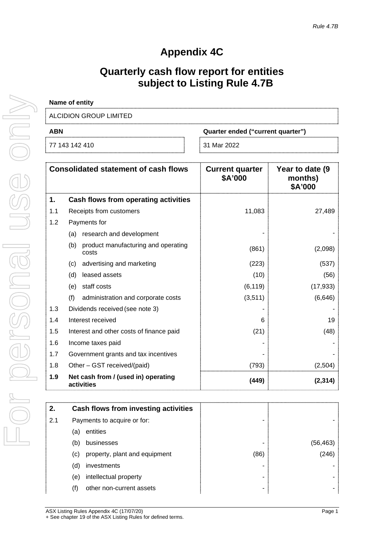# **Appendix 4C**

# **Quarterly cash flow report for entities subject to Listing Rule 4.7B**

| Name of entity         |                                   |
|------------------------|-----------------------------------|
| ALCIDION GROUP LIMITED |                                   |
| <b>ABN</b>             | Quarter ended ("current quarter") |
| 77 143 142 410         | 31 Mar 2022                       |

|     | <b>Consolidated statement of cash flows</b>         | <b>Current quarter</b><br>\$A'000 | Year to date (9)<br>months)<br>\$A'000 |
|-----|-----------------------------------------------------|-----------------------------------|----------------------------------------|
| 1.  | <b>Cash flows from operating activities</b>         |                                   |                                        |
| 1.1 | Receipts from customers                             | 11,083                            | 27,489                                 |
| 1.2 | Payments for                                        |                                   |                                        |
|     | research and development<br>(a)                     |                                   |                                        |
|     | product manufacturing and operating<br>(b)<br>costs | (861)                             | (2,098)                                |
|     | advertising and marketing<br>(c)                    | (223)                             | (537)                                  |
|     | leased assets<br>(d)                                | (10)                              | (56)                                   |
|     | staff costs<br>(e)                                  | (6, 119)                          | (17, 933)                              |
|     | (f)<br>administration and corporate costs           | (3,511)                           | (6,646)                                |
| 1.3 | Dividends received (see note 3)                     |                                   |                                        |
| 1.4 | Interest received                                   | 6                                 | 19                                     |
| 1.5 | Interest and other costs of finance paid            | (21)                              | (48)                                   |
| 1.6 | Income taxes paid                                   |                                   |                                        |
| 1.7 | Government grants and tax incentives                |                                   |                                        |
| 1.8 | Other - GST received/(paid)                         | (793)                             | (2,504)                                |
| 1.9 | Net cash from / (used in) operating<br>activities   | (449)                             | (2, 314)                               |

| entities                      |                                                                                                        |        |
|-------------------------------|--------------------------------------------------------------------------------------------------------|--------|
| businesses                    |                                                                                                        | 156.46 |
| property, plant and equipment | (86)                                                                                                   | 246    |
| investments                   |                                                                                                        |        |
| intellectual property         |                                                                                                        |        |
| other non-current assets      |                                                                                                        |        |
|                               | Cash flows from investing activities<br>Payments to acquire or for:<br>(a)<br>(b)<br>(c)<br>(d)<br>(e) |        |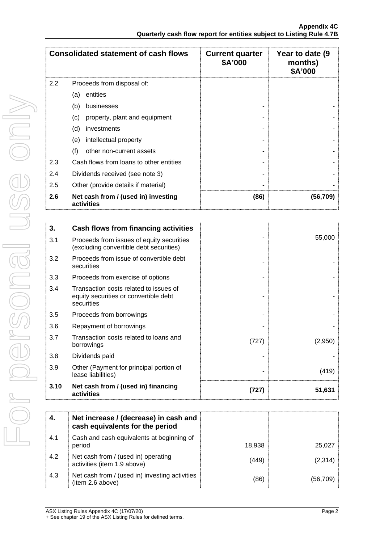|     | <b>Consolidated statement of cash flows</b>       | <b>Current quarter</b><br>\$A'000 | Year to date (9)<br>months)<br>\$A'000 |
|-----|---------------------------------------------------|-----------------------------------|----------------------------------------|
| 2.2 | Proceeds from disposal of:                        |                                   |                                        |
|     | entities<br>(a)                                   |                                   |                                        |
|     | (b)<br>businesses                                 |                                   |                                        |
|     | (c)<br>property, plant and equipment              |                                   |                                        |
|     | (d)<br>investments                                |                                   |                                        |
|     | intellectual property<br>(e)                      |                                   |                                        |
|     | (f)<br>other non-current assets                   |                                   |                                        |
| 2.3 | Cash flows from loans to other entities           |                                   |                                        |
| 2.4 | Dividends received (see note 3)                   |                                   |                                        |
| 2.5 | Other (provide details if material)               |                                   |                                        |
| 2.6 | Net cash from / (used in) investing<br>activities | (86)                              | (56,709)                               |

| 3.   | Cash flows from financing activities                                                          |       |         |
|------|-----------------------------------------------------------------------------------------------|-------|---------|
| 3.1  | Proceeds from issues of equity securities<br>(excluding convertible debt securities)          |       | 55,000  |
| 3.2  | Proceeds from issue of convertible debt<br>securities                                         |       |         |
| 3.3  | Proceeds from exercise of options                                                             |       |         |
| 3.4  | Transaction costs related to issues of<br>equity securities or convertible debt<br>securities |       |         |
| 3.5  | Proceeds from borrowings                                                                      |       |         |
| 3.6  | Repayment of borrowings                                                                       |       |         |
| 3.7  | Transaction costs related to loans and<br>borrowings                                          | (727) | (2,950) |
| 3.8  | Dividends paid                                                                                |       |         |
| 3.9  | Other (Payment for principal portion of<br>lease liabilities)                                 |       | (419)   |
| 3.10 | Net cash from / (used in) financing<br>activities                                             | 1727  | 51,631  |

| -4. | Net increase / (decrease) in cash and<br>cash equivalents for the period |        |          |
|-----|--------------------------------------------------------------------------|--------|----------|
| 4.1 | Cash and cash equivalents at beginning of<br>period                      | 18.938 | 25.027   |
| 4.2 | Net cash from / (used in) operating<br>activities (item 1.9 above)       | (449)  | (2,314)  |
| 4.3 | Net cash from / (used in) investing activities<br>(item 2.6 above)       | (86)   | (56.709) |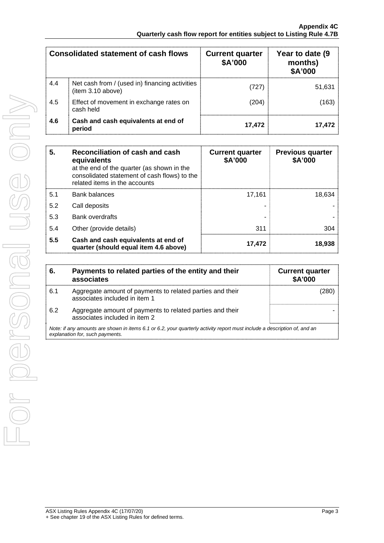|     | <b>Consolidated statement of cash flows</b>                         | <b>Current quarter</b><br>\$A'000 | Year to date (9<br>months)<br>\$A'000 |
|-----|---------------------------------------------------------------------|-----------------------------------|---------------------------------------|
| 4.4 | Net cash from / (used in) financing activities<br>(item 3.10 above) | (727)                             | 51,631                                |
| 4.5 | Effect of movement in exchange rates on<br>cash held                | (204)                             | (163)                                 |
| 4.6 | Cash and cash equivalents at end of<br>period                       | 17,472                            | 17.472                                |

| 5.  | Reconciliation of cash and cash<br>equivalents<br>at the end of the quarter (as shown in the<br>consolidated statement of cash flows) to the<br>related items in the accounts | <b>Current quarter</b><br>\$A'000 | <b>Previous quarter</b><br>\$A'000 |
|-----|-------------------------------------------------------------------------------------------------------------------------------------------------------------------------------|-----------------------------------|------------------------------------|
| 5.1 | <b>Bank balances</b>                                                                                                                                                          | 17.161                            | 18.634                             |
| 5.2 | Call deposits                                                                                                                                                                 |                                   |                                    |
| 5.3 | <b>Bank overdrafts</b>                                                                                                                                                        |                                   |                                    |
| 5.4 | Other (provide details)                                                                                                                                                       | 311                               | 304                                |
| 5.5 | Cash and cash equivalents at end of<br>quarter (should equal item 4.6 above)                                                                                                  | 17,472                            | 18.938                             |

| 6.  | Payments to related parties of the entity and their<br>associates                                                                                           | <b>Current quarter</b><br><b>\$A'000</b> |
|-----|-------------------------------------------------------------------------------------------------------------------------------------------------------------|------------------------------------------|
| 6.1 | Aggregate amount of payments to related parties and their<br>associates included in item 1                                                                  |                                          |
| 6.2 | Aggregate amount of payments to related parties and their<br>associates included in item 2                                                                  |                                          |
|     | Note: if any amounts are shown in items 6.1 or 6.2, your quarterly activity report must include a description of, and an<br>explanation for, such payments. |                                          |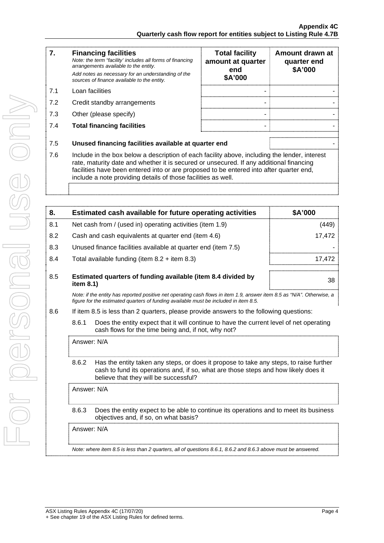| 7.  | <b>Financing facilities</b><br>Note: the term "facility' includes all forms of financing<br>arrangements available to the entity.<br>Add notes as necessary for an understanding of the<br>sources of finance available to the entity.                                                                                                               | <b>Total facility</b><br>amount at quarter<br>end<br>\$A'000 | Amount drawn at<br>quarter end<br>\$A'000 |
|-----|------------------------------------------------------------------------------------------------------------------------------------------------------------------------------------------------------------------------------------------------------------------------------------------------------------------------------------------------------|--------------------------------------------------------------|-------------------------------------------|
| 7.1 | Loan facilities                                                                                                                                                                                                                                                                                                                                      |                                                              |                                           |
| 7.2 | Credit standby arrangements                                                                                                                                                                                                                                                                                                                          |                                                              |                                           |
| 7.3 | Other (please specify)                                                                                                                                                                                                                                                                                                                               |                                                              |                                           |
| 7.4 | <b>Total financing facilities</b>                                                                                                                                                                                                                                                                                                                    |                                                              |                                           |
| 7.5 | Unused financing facilities available at quarter end                                                                                                                                                                                                                                                                                                 |                                                              |                                           |
| 7.6 | Include in the box below a description of each facility above, including the lender, interest<br>rate, maturity date and whether it is secured or unsecured. If any additional financing<br>facilities have been entered into or are proposed to be entered into after quarter end,<br>include a note providing details of those facilities as well. |                                                              |                                           |
|     |                                                                                                                                                                                                                                                                                                                                                      |                                                              |                                           |

| 8.  | Estimated cash available for future operating activities                                                                                                                                                       | \$A'000 |  |
|-----|----------------------------------------------------------------------------------------------------------------------------------------------------------------------------------------------------------------|---------|--|
| 8.1 | Net cash from / (used in) operating activities (item 1.9)                                                                                                                                                      | (449)   |  |
| 8.2 | Cash and cash equivalents at quarter end (item 4.6)                                                                                                                                                            | 17,472  |  |
| 8.3 | Unused finance facilities available at quarter end (item 7.5)                                                                                                                                                  |         |  |
| 8.4 | Total available funding (item $8.2 +$ item $8.3$ )                                                                                                                                                             | 17,472  |  |
| 8.5 | Estimated quarters of funding available (item 8.4 divided by<br>item 8.1)                                                                                                                                      |         |  |
|     | Note: if the entity has reported positive net operating cash flows in item 1.9, answer item 8.5 as "N/A". Otherwise, a<br>figure for the estimated quarters of funding available must be included in item 8.5. |         |  |
| 8.6 | If item 8.5 is less than 2 quarters, please provide answers to the following questions:                                                                                                                        |         |  |
|     | 8.6.1<br>Does the entity expect that it will continue to have the current level of net operating<br>cash flows for the time being and, if not, why not?                                                        |         |  |
|     | Answer: N/A                                                                                                                                                                                                    |         |  |
|     | Has the entity taken any steps, or does it propose to take any steps, to raise further<br>8.6.2<br>cash to fund its operations and, if so, what are those steps and how likely does it                         |         |  |

believe that they will be successful? Answer: N/A

> 8.6.3 Does the entity expect to be able to continue its operations and to meet its business objectives and, if so, on what basis?

Answer: N/A

*Note: where item 8.5 is less than 2 quarters, all of questions 8.6.1, 8.6.2 and 8.6.3 above must be answered.*